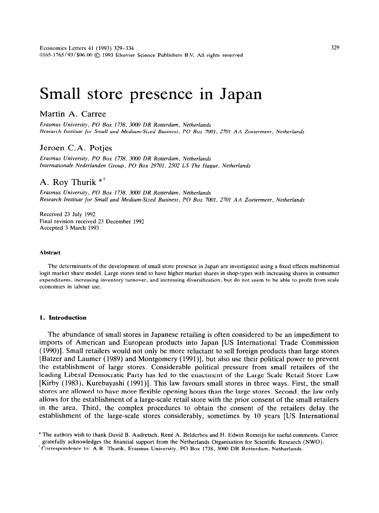# Small store presence in Japan

# Martin A. Carree

*Erasmus University, PO Box 1738, 3000 DR Rotterdam, Netherlands Research Institute for Small and Medium-Sized Business, PO Box 7001, 2701 AA Zoetermeer, Netherlands* 

# Jeroen C.A. Potjes

*Erasmus University, PO Box 1738, 3GQO DR Rotterdam, Netherlands Internationale Nederlanden Group, PO Box 29701, 2502 LS The Hague, Netherlands* 

# A. Roy Thurik  $*^{\dagger}$

*Erasmus University, PO Box 1738, 3ooO DR Rotterdam, Netherlands Research Institute for Small and Medium-Sized Business, PO Box 7001, 2701 AA Zoetermeer, Netherlands* 

Received 23 July 1992 Final revision received 23 December 1992 Accepted 3 March 1993

#### **Abstract**

The determinants of the development of small store presence in Japan are investigated using a fixed effects multinomial logit market share model. Large stores tend to have higher market shares in shop-types with increasing shares in consumer expenditures, increasing inventory turnover, and increasing diversification, but do not seem to be able to profit from scale economies in labour use.

#### **1. Introduction**

The abundance of small stores in Japanese retailing is often considered to be an impediment to imports of American and European products into Japan [US International Trade Commission (1990)]. Small retailers would not only be more reluctant to sell foreign products than large stores [Batzer and Laumer (1989) and Montgomery (1991)], but also use their political power to prevent the establishment of large stores. Considerable political pressure from small retailers of the leading Liberal Democratic Party has led to the enactment of the Large Scale Retail Store Law [Kirby (1983), Kurebayashi (1991)]. This law favours small stores in three ways. First, the small stores are allowed to have more flexible opening hours than the large stores. Second, the law only allows for the establishment of a large-scale retail store with the prior consent of the small retailers in the area. Third, the complex procedures to obtain the consent of the retailers delay the establishment of the large-scale stores considerably, sometimes by 10 years [US International

<sup>\*</sup> The authors wish to thank David B. Audretsch, René A. Belderbos and H. Edwin Romeijn for useful comments. Carree gratefully acknowledges the financial support from the Netherlands Organisation for Scientific Research (NWO).

<sup>&#</sup>x27; Correspondence to: A.R. Thurik, Erasmus University, PO Box 1738, 3000 DR Rotterdam, Netherlands.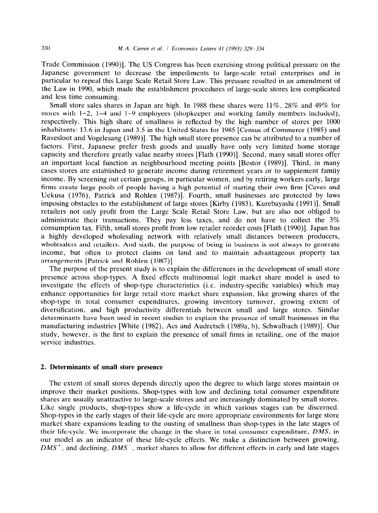Trade Commission (1990)]. The US Congress has been exercising strong political pressure on the Japanese government to decrease the impediments to large-scale retail enterprises and in particular to repeal this Large Scale Retail Store Law. This pressure resulted in an amendment of the Law in 1990, which made the establishment procedures of large-scale stores less complicated and less time consuming.

Small store sales shares in Japan are high. In 1988 these shares were  $11\%$ ,  $28\%$  and  $49\%$  for stores with  $1-2$ ,  $1-4$  and  $1-9$  employees (shopkeeper and working family members included), respectively. This high share of smallness is reflected by the high number of stores per 1000 inhabitants: 13.6 in Japan and 3.5 in the United States for 1985 [Census of Commerce (1985) and Ravesloot and Vogelesang (1989)]. The high small store presence can be attributed to a number of factors, First, Japanese prefer fresh goods and usually have only very limited home storage capacity and therefore greatly value nearby stores [Flath (1990)]. Second, many small stores offer an important local function as neighbourhood meeting points [Bestor (1989)]. Third, in many cases stores are established to generate income during retirement years or to supplement family income. By screening out certain groups, in particular women, and by retiring workers early, large firms create large pools of people having a high potential of starting their own firm [Caves and Uekusa (1976), Patrick and Rohlen (1987)]. Fourth, small businesses are protected by laws imposing obstacles to the establishment of large stores [Kirby (1983), Kurebayashi (1991)]. Small retailers not only profit from the Large Scale Retail Store Law, but are also not obliged to administrate their transactions. They pay less taxes, and do not have to collect the 3% consumption tax. Fifth, small stores profit from low retailer reorder costs [Flath (1990)]. Japan has a highly developed wholesaling network with relatively small distances between producers, wholesalers and retailers. And sixth, the purpose of being in business is not always to generate income, but often to protect claims on land and to maintain advantageous property tax arrangements [Patrick and Rohlen (1987)].

The purpose of the present study is to explain the differences in the development of small store presence across shop-types. A fixed effects multinomial logit market share model is used to investigate the effects of shop-type characteristics (i.e. industry-specific variables) which may enhance opportunities for large retail store market share expansion, like growing shares of the shop-type in total consumer expenditures, growing inventory turnover, growing extent of diversification, and high productivity differentials between small and large stores. Similar determinants have been used in recent studies to explain the presence of small businesses in the manufacturing industries [White (1982), Acs and Audretsch (1989a, b), Schwalbach (1989)]. Our study, however, is the first to explain the presence of small firms in retailing, one of the major service industries.

## 2. **Determinants of small store presence**

The extent of small stores depends directly upon the degree to which large stores maintain or improve their market positions. Shop-types with low and declining total consumer expenditure shares are usually unattractive to large-scale stores and are increasingly dominated by small stores. Like single products, shop-types show a life-cycle in which various stages can be discerned. Shop-types in the early stages of their life-cycle are more appropriate environments for large store market share expansions leading to the ousting of smallness than shop-types in the late stages of their life-cycle. We incorporate the change in the share in total consumer expenditure, *DMS,* in our model as an indicator of these life-cycle effects. We make a distinction between growing, *DMS<sup>+</sup>*, and declining, *DMS<sup>-</sup>*, market shares to allow for different effects in early and late stages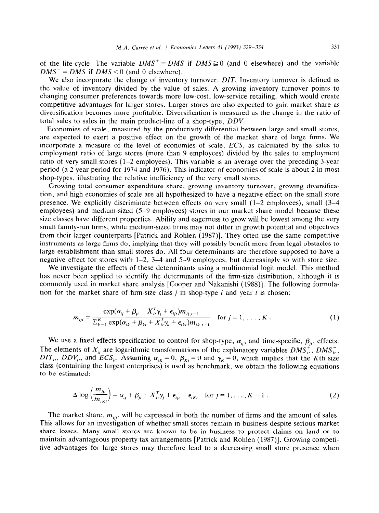of the life-cycle. The variable  $DMS^+ = DMS$  if  $DMS \ge 0$  (and 0 elsewhere) and the variable  $DMS^- = DMS$  if  $DMS < 0$  (and 0 elsewhere).

We also incorporate the change of inventory turnover, *DIT*. Inventory turnover is defined as the value of inventory divided by the value of sales. A growing inventory turnover points to changing consumer preferences towards more low-cost, low-service retailing, which would create competitive advantages for larger stores. Larger stores are also expected to gain market share as diversification becomes more profitable. Diversification is measured as the change in the ratio of total sales to sales in the main product-line of a shop-type, *DDV.* 

Economies of scale, measured by the productivity differential between large and small stores, are expected to exert a positive effect on the growth of the market share of large firms. We incorporate a measure of the level of economies of scale, *ECS,* as calculated by the sales to employment ratio of large stores (more than 9 employees) divided by the sales to employment ratio of very small stores (1-2 employees). This variable is an average over the preceding 3-year period (a 2-year period for 1974 and 1976). This indicator of economies of scale is about 2 in most shop-types, illustrating the relative inefficiency of the very small stores.

Growing total consumer expenditure share, growing inventory turnover, growing diversification, and high economies of scale are all hypothesized to have a negative effect on the small store presence. We explicitly discriminate between effects on very small  $(1-2 \text{ employees})$ , small  $(3-4 \text{$ employees) and medium-sized (5-9 employees) stores in our market share model because these size classes have different properties. Ability and eagerness to grow will be lowest among the very small family-run firms, while medium-sized firms may not differ in growth potential and objectives from their larger counterparts [Patrick and Rohlen (1987)]. They often use the same competitive instruments as large firms do, implying that they will possibly benefit more from legal obstacles to large establishment than small stores do. All four determinants are therefore supposed to have a negative effect for stores with 1-2, 3-4 and 5-9 employees, but decreasingly so with store size.

We investigate the effects of these determinants using a multinomial logit model. This method has never been applied to identify the determinants of the firm-size distribution, although it is commonly used in market share analysis [Cooper and Nakanishi (1988)). The following formulation for the market share of firm-size class  $\hat{i}$  in shop-type  $\hat{i}$  and year  $\hat{i}$  is chosen:

$$
m_{ijl} = \frac{\exp(\alpha_{ij} + \beta_{jt} + X_{ii}'\gamma_j + \epsilon_{ijl})m_{ij, l-1}}{\sum_{k=1}^{K} \exp(\alpha_{ik} + \beta_{kt} + X_{ii}'\gamma_k + \epsilon_{ikl})m_{ik, l-1}} \quad \text{for } j = 1, ..., K.
$$
 (1)

We use a fixed effects specification to control for shop-type,  $\alpha_{ii}$ , and time-specific,  $\beta_{ii}$ , effects. The elements of  $X_{ii}$  are logarithmic transformations of the explanatory variables  $DMS_{ii}^+$ ,  $DMS_i$  $DIT_{ii}$ ,  $DDV_{ii}$ , and  $ECS_{ii}$ . Assuming  $\alpha_{iK} = 0$ ,  $\beta_{Ki} = 0$  and  $\gamma_K = 0$ , which implies that the Kth size class (containing the largest enterprises) is used as benchmark, we obtain the following equations to be estimated:

$$
\Delta \log \left( \frac{m_{ijt}}{m_{iKt}} \right) = \alpha_{ij} + \beta_{jt} + X_{ii}^T \gamma_j + \epsilon_{ijt} - \epsilon_{iKt} \quad \text{for } j = 1, ..., K - 1.
$$
 (2)

The market share,  $m_{\text{int}}$ , will be expressed in both the number of firms and the amount of sales. This allows for an investigation of whether small stores remain in business despite serious market share losses. Many small stores are known to be in business to protect claims on land or to maintain advantageous property tax arrangements [Patrick and Rohlen (1987)]. Growing competitive advantages for large stores may therefore lead to a decreasing small store presence when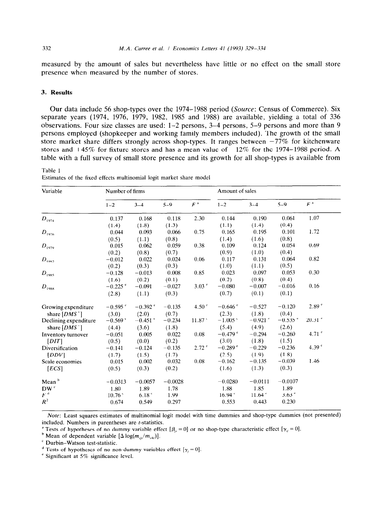measured by the amount of sales but nevertheless have little or no effect on the small store presence when measured by the number of stores.

## 3. **Results**

Table 1

Our data include 56 shop-types over the 1974-1988 period (Source: Census of Commerce). Six separate years (1974, 1976, 1979, 1982, 1985 and 1988) are available, yielding a total of 336 observations. Four size classes are used: l-2 persons, 3-4 persons, 5-9 persons and more than 9 persons employed (shopkeeper and working family members included). The growth of the small store market share differs strongly across shop-types. It ranges between  $-77\%$  for kitchenware stores and  $+45\%$  for fixture stores and has a mean value of  $-12\%$  for the 1974-1988 period. A table with a full survey of small store presence and its growth for all shop-types is available from

| Variable              | Number of firms       |                       |           |                    | Amount of sales    |                     |                    |                   |
|-----------------------|-----------------------|-----------------------|-----------|--------------------|--------------------|---------------------|--------------------|-------------------|
|                       | $1 - 2$               | $3 - 4$               | $5 - 9$   | $F^a$              | $1 - 2$            | $3 - 4$             | $5 - 9$            | $F^a$             |
| $D_{1974}$            | 0.137                 | 0.168                 | 0.118     | 2.30               | 0.144              | 0.190               | 0.061              | 1.07              |
|                       | (1.4)                 | (1.8)                 | (1.3)     |                    | (1.1)              | (1.4)               | (0.4)              |                   |
| $D_{1976}$            | 0.044                 | 0.093                 | 0.066     | 0.75               | 0.165              | 0.195               | 0.101              | 1.72              |
|                       | (0.5)                 | (1.1)                 | (0.8)     |                    | (1.4)              | (1.6)               | (0.8)              |                   |
| $D_{1979}$            | 0.015                 | 0.062                 | 0.059     | 0.38               | 0.109              | 0.124               | 0.054              | 0.69              |
|                       | (0.2)                 | (0.8)                 | (0.7)     |                    | (0.9)              | (1.0)               | (0.4)              |                   |
| $D_{1982}$            | $-0.012$              | 0.022                 | 0.024     | 0.06               | 0.117              | 0.131               | 0.064              | 0.82              |
|                       | (0.2)                 | (0.3)                 | (0.3)     |                    | (1.0)              | (1.1)               | (0.5)              |                   |
| $D_{1985}$            | $-0.128$              | $-0.013$              | 0.008     | 0.85               | 0.023              | 0.097               | 0.053              | 0.30              |
|                       | (1.6)                 | (0.2)                 | (0.1)     |                    | (0.2)              | (0.8)               | (0.4)              |                   |
| $D_{1988}$            | $-0.225$ $^{\circ}$   | $-0.091$              | $-0.027$  | 3.03 <sup>e</sup>  | $-0.080$           | $-0.007$            | $-0.016$           | 0.16              |
|                       | (2.8)                 | (1.1)                 | (0.3)     |                    | (0.7)              | (0.1)               | (0.1)              |                   |
| Growing expenditure   | $-0.595$ <sup>e</sup> | $-0.392$ <sup>e</sup> | $-0.135$  | 4.50 $^{\circ}$    | $-0.646$ $\degree$ | $-0.527$            | $-0.120$           | 2.89 <sup>°</sup> |
| share $[DMS^+]$       | (3.0)                 | (2.0)                 | (0.7)     |                    | (2.3)              | (1.8)               | (0.4)              |                   |
| Declining expenditure | $-0.569$ °            | $-0.451$ $\degree$    | $-0.234$  | $11.87$ $^{\circ}$ | $-1.005$           | $-0.921$ $^{\circ}$ | $-0.535$ $\degree$ | $20.31$ $\degree$ |
| share $[DMS^-]$       | (4.4)                 | (3.6)                 | (1.8)     |                    | (5.4)              | (4.9)               | (2.6)              |                   |
| Inventory turnover    | $-0.051$              | 0.005                 | 0.022     | 0.08               | $-0.479$ $\degree$ | $-0.294$            | $-0.260$           | $4.71$ $^{\circ}$ |
| [DIT]                 | (0.5)                 | (0.0)                 | (0.2)     |                    | (3.0)              | (1.8)               | (1.5)              |                   |
| Diversification       | $-0.141$              | $-0.124$              | $-0.135$  | 2.72 <sup>e</sup>  | $-0.289$ $\degree$ | $-0.229$            | $-0.236$           | 4.39 $^{\circ}$   |
| [DDV]                 | (1.7)                 | (1.5)                 | (1.7)     |                    | (2.5)              | (1.9)               | (1.8)              |                   |
| Scale economies       | 0.015                 | 0.002                 | 0.032     | 0.08               | $-0.162$           | $-0.135$            | $-0.039$           | 1.46              |
| [ECS]                 | (0.5)                 | (0.3)                 | (0.2)     |                    | (1.6)              | (1.3)               | (0.3)              |                   |
| Mean <sup>b</sup>     | $-0.0313$             | $-0.0057$             | $-0.0028$ |                    | $-0.0280$          | $-0.0111$           | $-0.0107$          |                   |
| $DW^{\circ}$          | 1.80                  | 1.89                  | 1.78      |                    | 1.88               | 1.85                | 1.89               |                   |
| $F^{\rm d}$           | $10.76$ $\degree$     | 6.18 <sup>°</sup>     | 1.99      |                    | 16.94 °            | $11.64$ $\degree$   | $3.63$ $^{\circ}$  |                   |
| $R^2$                 | 0.674                 | 0.549                 | 0.297     |                    | 0.553              | 0.443               | 0.230              |                   |

Estimates of the fixed effects multinomial logit market share model

*Note:* Least squares estimates of multinomial logit model with time dummies and shop-type dummies (not presented) included. Numbers in parentheses are  $t$ -statistics.

<sup>a</sup> Tests of hypotheses of no dummy variable effect  $[\beta_{i} = 0]$  or no shop-type characteristic effect  $[\gamma_{ij} = 0]$ .

<sup>b</sup> Mean of dependent variable  $[\Delta \log(m_{ii}/m_{4i})]$ .

*'* Durbin-Watson test-statistic.

<sup>d</sup> Tests of hypotheses of no non-dummy variables effect  $[\gamma_i = 0]$ .

' Significant at 5% significance level.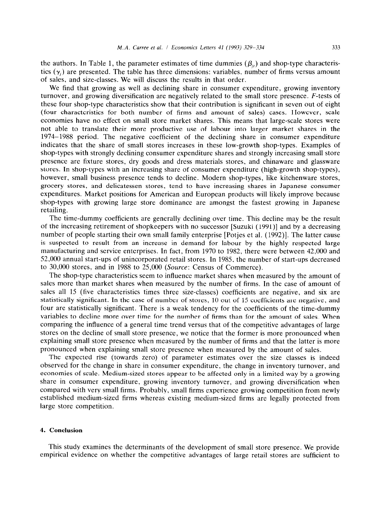the authors. In Table 1, the parameter estimates of time dummies  $(\beta_{ij})$  and shop-type characteristics  $(y<sub>i</sub>)$  are presented. The table has three dimensions: variables, number of firms versus amount of sales, and size-classes. We will discuss the results in that order.

We find that growing as well as declining share in consumer expenditure, growing inventory turnover, and growing diversification are negatively related to the small store presence. F-tests of these four shop-type characteristics show that their contribution is significant in seven out of eight (four characteristics for both number of firms and amount of sales) cases. However, scale economies have no effect on small store market shares. This means that large-scale stores were not able to translate their more productive use of labour into larger market shares in the 1974-1988 period. The negative coefficient of the declining share in consumer expenditure indicates that the share of small stores increases in these low-growth shop-types. Examples of shop-types with strongly declining consumer expenditure shares and strongly increasing small store presence are fixture stores, dry goods and dress materials stores, and chinaware and glassware stores. In shop-types with an increasing share of consumer expenditure (high-growth shop-types), however, small business presence tends to decline. Modern shop-types, like kitchenware stores, grocery stores, and delicatessen stores, tend to have increasing shares in Japanese consumer expenditures. Market positions for American and European products will likely improve because shop-types with growing large store dominance are amongst the fastest growing in Japanese retailing.

The time-dummy coefficients are generally declining over time. This decline may be the result of the increasing retirement of shopkeepers with no successor [Suzuki (1991)] and by a decreasing number of people starting their own small family enterprise [Potjes et al. (1992)]. The latter cause is suspected to result from an increase in demand for labour by the highly respected large manufacturing and service enterprises. In fact, from 1970 to 1982, there were between 42,000 and 52,000 annual start-ups of unincorporated retail stores. In 1985, the number of start-ups decreased to 30,000 stores, and in 1988 to 25,000 (Source: Census of Commerce).

The shop-type characteristics seem to influence market shares when measured by the amount of sales more than market shares when measured by the number of firms. In the case of amount of sales all 15 (five characteristics times three size-classes) coefficients are negative, and six are statistically significant. In the case of number of stores, 10 out of 15 coefficients are negative, and four are statistically significant. There is a weak tendency for the coefficients of the time-dummy variables to decline more over time for the number of firms than for the amount of sales. When comparing the influence of a general time trend versus that of the competitive advantages of large stores on the decline of small store presence, we notice that the former is more pronounced when explaining small store presence when measured by the number of firms and that the latter is more pronounced when explaining small store presence when measured by the amount of sales.

The expected rise (towards zero) of parameter estimates over the size classes is indeed observed for the change in share in consumer expenditure, the change in inventory turnover, and economies of scale. Medium-sized stores appear to be affected only in a limited way by a growing share in consumer expenditure, growing inventory turnover, and growing diversification when compared with very small firms. Probably, small firms experience growing competition from newly established medium-sized firms whereas existing medium-sized firms are legally protected from large store competition.

## 4. Conclusion

This study examines the determinants of the development of small store presence. We provide empirical evidence on whether the competitive advantages of large retail stores are sufficient to